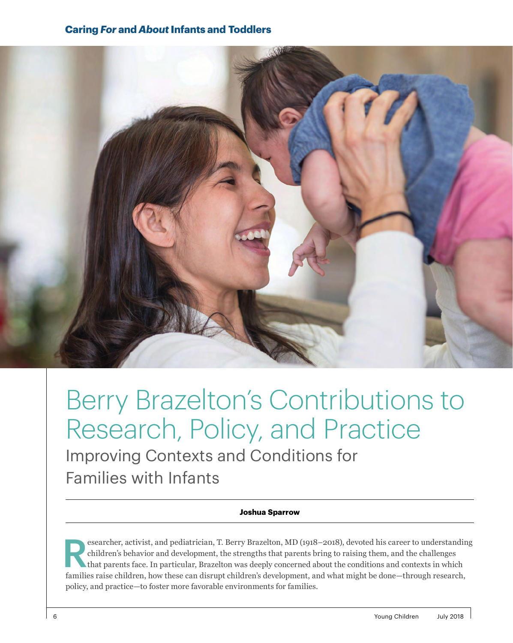## **Caring** *For* **and** *About* **Infants and Toddlers**



# Berry Brazelton's Contributions to Research, Policy, and Practice

Improving Contexts and Conditions for Families with Infants

#### **Joshua Sparrow**

esearcher, activist, and pediatrician, T. Berry Brazelton, MD (1918–2018), devoted his career to understanding children's behavior and development, the strengths that parents bring to raising them, and the challenges that children's behavior and development, the strengths that parents bring to raising them, and the challenges that parents face. In particular, Brazelton was deeply concerned about the conditions and contexts in which families raise children, how these can disrupt children's development, and what might be done—through research, policy, and practice—to foster more favorable environments for families.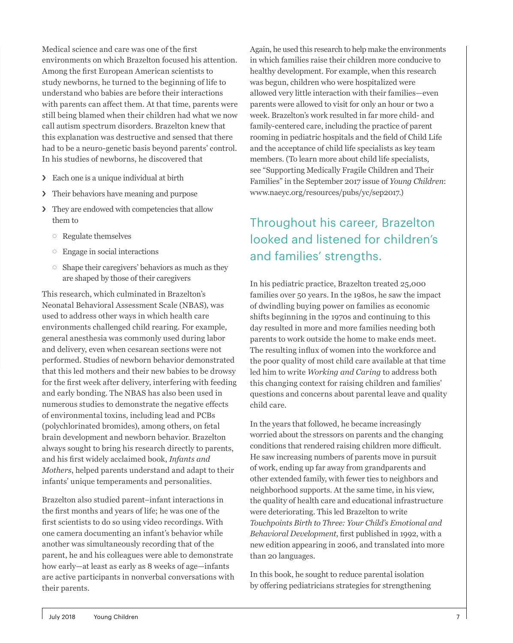Medical science and care was one of the first environments on which Brazelton focused his attention. Among the first European American scientists to study newborns, he turned to the beginning of life to understand who babies are before their interactions with parents can affect them. At that time, parents were still being blamed when their children had what we now call autism spectrum disorders. Brazelton knew that this explanation was destructive and sensed that there had to be a neuro-genetic basis beyond parents' control. In his studies of newborns, he discovered that

- › Each one is a unique individual at birth
- › Their behaviors have meaning and purpose
- › They are endowed with competencies that allow them to
	- $\circ$  Regulate themselves
	- $\circ$  Engage in social interactions
	- $\circ$  Shape their caregivers' behaviors as much as they are shaped by those of their caregivers

This research, which culminated in Brazelton's Neonatal Behavioral Assessment Scale (NBAS), was used to address other ways in which health care environments challenged child rearing. For example, general anesthesia was commonly used during labor and delivery, even when cesarean sections were not performed. Studies of newborn behavior demonstrated that this led mothers and their new babies to be drowsy for the first week after delivery, interfering with feeding and early bonding. The NBAS has also been used in numerous studies to demonstrate the negative effects of environmental toxins, including lead and PCBs (polychlorinated bromides), among others, on fetal brain development and newborn behavior. Brazelton always sought to bring his research directly to parents, and his first widely acclaimed book, *Infants and Mothers*, helped parents understand and adapt to their infants' unique temperaments and personalities.

Brazelton also studied parent–infant interactions in the first months and years of life; he was one of the first scientists to do so using video recordings. With one camera documenting an infant's behavior while another was simultaneously recording that of the parent, he and his colleagues were able to demonstrate how early—at least as early as 8 weeks of age—infants are active participants in nonverbal conversations with their parents.

Again, he used this research to help make the environments in which families raise their children more conducive to healthy development. For example, when this research was begun, children who were hospitalized were allowed very little interaction with their families—even parents were allowed to visit for only an hour or two a week. Brazelton's work resulted in far more child- and family-centered care, including the practice of parent rooming in pediatric hospitals and the field of Child Life and the acceptance of child life specialists as key team members. (To learn more about child life specialists, see "Supporting Medically Fragile Children and Their Families" in the September 2017 issue of *Young Children*: www.naeyc.org/resources/pubs/yc/sep2017.)

# Throughout his career, Brazelton looked and listened for children's and families' strengths.

In his pediatric practice, Brazelton treated 25,000 families over 50 years. In the 1980s, he saw the impact of dwindling buying power on families as economic shifts beginning in the 1970s and continuing to this day resulted in more and more families needing both parents to work outside the home to make ends meet. The resulting influx of women into the workforce and the poor quality of most child care available at that time led him to write *Working and Caring* to address both this changing context for raising children and families' questions and concerns about parental leave and quality child care.

In the years that followed, he became increasingly worried about the stressors on parents and the changing conditions that rendered raising children more difficult. He saw increasing numbers of parents move in pursuit of work, ending up far away from grandparents and other extended family, with fewer ties to neighbors and neighborhood supports. At the same time, in his view, the quality of health care and educational infrastructure were deteriorating. This led Brazelton to write *Touchpoints Birth to Three: Your Child's Emotional and Behavioral Development*, first published in 1992, with a new edition appearing in 2006, and translated into more than 20 languages.

In this book, he sought to reduce parental isolation by offering pediatricians strategies for strengthening